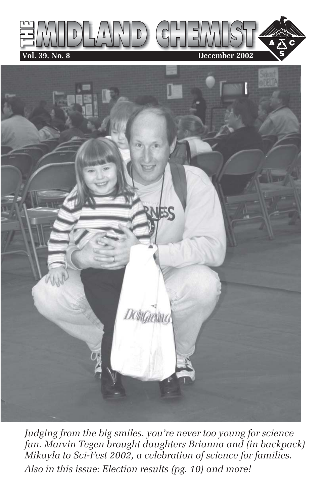



*Judging from the big smiles, you're never too young for science fun. Marvin Tegen brought daughters Brianna and (in backpack) Mikayla to Sci-Fest 2002, a celebration of science for families. Also in this issue: Election results (pg. 10) and more!*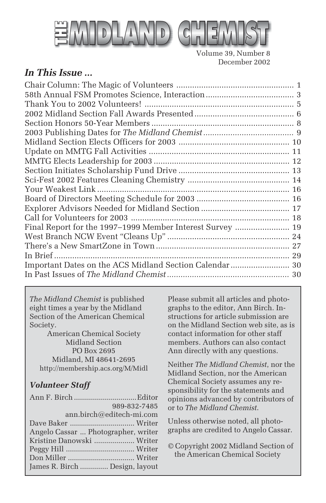

Volume 39, Number 8 December 2002

#### *In This Issue ...*

| Final Report for the 1997-1999 Member Interest Survey  19 |  |
|-----------------------------------------------------------|--|
|                                                           |  |
|                                                           |  |
|                                                           |  |
| Important Dates on the ACS Midland Section Calendar  30   |  |
|                                                           |  |
|                                                           |  |

*The Midland Chemist* is published eight times a year by the Midland Section of the American Chemical Society.

American Chemical Society Midland Section PO Box 2695 Midland, MI 48641-2695 http://membership.acs.org/M/Midl

#### *Volunteer Staff*

| 989-832-7485                        |  |
|-------------------------------------|--|
| ann.birch@editech-mi.com            |  |
|                                     |  |
| Angelo Cassar  Photographer, writer |  |
| Kristine Danowski  Writer           |  |
|                                     |  |
|                                     |  |
| James R. Birch  Design, layout      |  |

Please submit all articles and photographs to the editor, Ann Birch. Instructions for article submission are on the Midland Section web site, as is contact information for other staff members. Authors can also contact Ann directly with any questions.

Neither *The Midland Chemist*, nor the Midland Section, nor the American Chemical Society assumes any responsibility for the statements and opinions advanced by contributors of or to *The Midland Chemist*.

Unless otherwise noted, all photographs are credited to Angelo Cassar.

© Copyright 2002 Midland Section of the American Chemical Society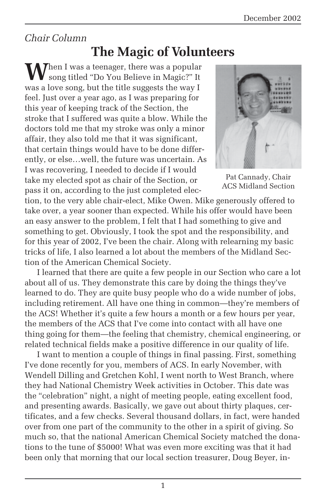#### *Chair Column*

### **The Magic of Volunteers**

**W**hen I was a teenager, there was a popular song titled "Do You Believe in Magic?" It was a love song, but the title suggests the way I feel. Just over a year ago, as I was preparing for this year of keeping track of the Section, the stroke that I suffered was quite a blow. While the doctors told me that my stroke was only a minor affair, they also told me that it was significant, that certain things would have to be done differently, or else…well, the future was uncertain. As I was recovering, I needed to decide if I would take my elected spot as chair of the Section, or pass it on, according to the just completed elec-



Pat Cannady, Chair ACS Midland Section

tion, to the very able chair-elect, Mike Owen. Mike generously offered to take over, a year sooner than expected. While his offer would have been an easy answer to the problem, I felt that I had something to give and something to get. Obviously, I took the spot and the responsibility, and for this year of 2002, I've been the chair. Along with relearning my basic tricks of life, I also learned a lot about the members of the Midland Section of the American Chemical Society.

I learned that there are quite a few people in our Section who care a lot about all of us. They demonstrate this care by doing the things they've learned to do. They are quite busy people who do a wide number of jobs, including retirement. All have one thing in common—they're members of the ACS! Whether it's quite a few hours a month or a few hours per year, the members of the ACS that I've come into contact with all have one thing going for them—the feeling that chemistry, chemical engineering, or related technical fields make a positive difference in our quality of life.

I want to mention a couple of things in final passing. First, something I've done recently for you, members of ACS. In early November, with Wendell Dilling and Gretchen Kohl, I went north to West Branch, where they had National Chemistry Week activities in October. This date was the "celebration" night, a night of meeting people, eating excellent food, and presenting awards. Basically, we gave out about thirty plaques, certificates, and a few checks. Several thousand dollars, in fact, were handed over from one part of the community to the other in a spirit of giving. So much so, that the national American Chemical Society matched the donations to the tune of \$5000! What was even more exciting was that it had been only that morning that our local section treasurer, Doug Beyer, in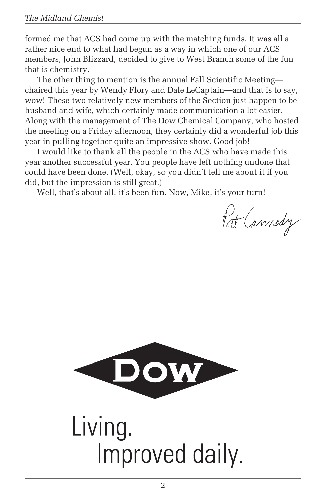formed me that ACS had come up with the matching funds. It was all a rather nice end to what had begun as a way in which one of our ACS members, John Blizzard, decided to give to West Branch some of the fun that is chemistry.

The other thing to mention is the annual Fall Scientific Meeting chaired this year by Wendy Flory and Dale LeCaptain—and that is to say, wow! These two relatively new members of the Section just happen to be husband and wife, which certainly made communication a lot easier. Along with the management of The Dow Chemical Company, who hosted the meeting on a Friday afternoon, they certainly did a wonderful job this year in pulling together quite an impressive show. Good job!

I would like to thank all the people in the ACS who have made this year another successful year. You people have left nothing undone that could have been done. (Well, okay, so you didn't tell me about it if you did, but the impression is still great.)

Well, that's about all, it's been fun. Now, Mike, it's your turn!

Pat Cannody

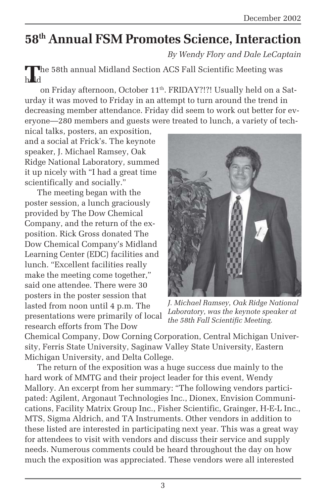### **58th Annual FSM Promotes Science, Interaction**

*By Wendy Flory and Dale LeCaptain*

**T**he 58th annual Midland Section ACS Fall Scientific Meeting was held

on Friday afternoon, October 11<sup>th</sup>. FRIDAY?!?! Usually held on a Saturday it was moved to Friday in an attempt to turn around the trend in decreasing member attendance. Friday did seem to work out better for everyone—280 members and guests were treated to lunch, a variety of tech-

nical talks, posters, an exposition, and a social at Frick's. The keynote speaker, J. Michael Ramsey, Oak Ridge National Laboratory, summed it up nicely with "I had a great time scientifically and socially."

The meeting began with the poster session, a lunch graciously provided by The Dow Chemical Company, and the return of the exposition. Rick Gross donated The Dow Chemical Company's Midland Learning Center (EDC) facilities and lunch. "Excellent facilities really make the meeting come together," said one attendee. There were 30 posters in the poster session that lasted from noon until 4 p.m. The presentations were primarily of local research efforts from The Dow



*J. Michael Ramsey, Oak Ridge National Laboratory, was the keynote speaker at the 58th Fall Scientific Meeting.*

Chemical Company, Dow Corning Corporation, Central Michigan University, Ferris State University, Saginaw Valley State University, Eastern Michigan University, and Delta College.

The return of the exposition was a huge success due mainly to the hard work of MMTG and their project leader for this event, Wendy Mallory. An excerpt from her summary: "The following vendors participated: Agilent, Argonaut Technologies Inc., Dionex, Envision Communications, Facility Matrix Group Inc., Fisher Scientific, Grainger, H-E-L Inc., MTS, Sigma Aldrich, and TA Instruments. Other vendors in addition to these listed are interested in participating next year. This was a great way for attendees to visit with vendors and discuss their service and supply needs. Numerous comments could be heard throughout the day on how much the exposition was appreciated. These vendors were all interested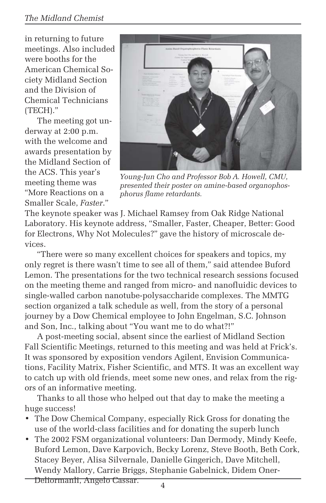#### *The Midland Chemist*

in returning to future meetings. Also included were booths for the American Chemical Society Midland Section and the Division of Chemical Technicians (TECH)."

The meeting got underway at 2:00 p.m. with the welcome and awards presentation by the Midland Section of the ACS. This year's meeting theme was "More Reactions on a Smaller Scale, *Faster*."



*Young-Jun Cho and Professor Bob A. Howell, CMU, presented their poster on amine-based organophosphorus flame retardants.*

The keynote speaker was J. Michael Ramsey from Oak Ridge National Laboratory. His keynote address, "Smaller, Faster, Cheaper, Better: Good for Electrons, Why Not Molecules?" gave the history of microscale devices.

"There were so many excellent choices for speakers and topics, my only regret is there wasn't time to see all of them," said attendee Buford Lemon. The presentations for the two technical research sessions focused on the meeting theme and ranged from micro- and nanofluidic devices to single-walled carbon nanotube-polysaccharide complexes. The MMTG section organized a talk schedule as well, from the story of a personal journey by a Dow Chemical employee to John Engelman, S.C. Johnson and Son, Inc., talking about "You want me to do what?!"

A post-meeting social, absent since the earliest of Midland Section Fall Scientific Meetings, returned to this meeting and was held at Frick's. It was sponsored by exposition vendors Agilent, Envision Communications, Facility Matrix, Fisher Scientific, and MTS. It was an excellent way to catch up with old friends, meet some new ones, and relax from the rigors of an informative meeting.

Thanks to all those who helped out that day to make the meeting a huge success!

- The Dow Chemical Company, especially Rick Gross for donating the use of the world-class facilities and for donating the superb lunch
- The 2002 FSM organizational volunteers: Dan Dermody, Mindy Keefe, Buford Lemon, Dave Karpovich, Becky Lorenz, Steve Booth, Beth Cork, Stacey Beyer, Alisa Silvernale, Danielle Gingerich, Dave Mitchell, Wendy Mallory, Carrie Briggs, Stephanie Gabelnick, Didem Oner-

Deliormanli, Angelo Cassar.

4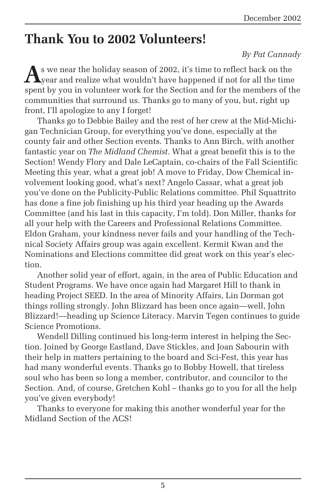### **Thank You to 2002 Volunteers!**

#### *By Pat Cannady*

**A**s we near the holiday season of 2002, it's time to reflect back on the year and realize what wouldn't have happened if not for all the time spent by you in volunteer work for the Section and for the members of the communities that surround us. Thanks go to many of you, but, right up front, I'll apologize to any I forget!

Thanks go to Debbie Bailey and the rest of her crew at the Mid-Michigan Technician Group, for everything you've done, especially at the county fair and other Section events. Thanks to Ann Birch, with another fantastic year on *The Midland Chemist*. What a great benefit this is to the Section! Wendy Flory and Dale LeCaptain, co-chairs of the Fall Scientific Meeting this year, what a great job! A move to Friday, Dow Chemical involvement looking good, what's next? Angelo Cassar, what a great job you've done on the Publicity-Public Relations committee. Phil Squattrito has done a fine job finishing up his third year heading up the Awards Committee (and his last in this capacity, I'm told). Don Miller, thanks for all your help with the Careers and Professional Relations Committee. Eldon Graham, your kindness never fails and your handling of the Technical Society Affairs group was again excellent. Kermit Kwan and the Nominations and Elections committee did great work on this year's election.

Another solid year of effort, again, in the area of Public Education and Student Programs. We have once again had Margaret Hill to thank in heading Project SEED. In the area of Minority Affairs, Lin Dorman got things rolling strongly. John Blizzard has been once again—well, John Blizzard!—heading up Science Literacy. Marvin Tegen continues to guide Science Promotions.

Wendell Dilling continued his long-term interest in helping the Section. Joined by George Eastland, Dave Stickles, and Joan Sabourin with their help in matters pertaining to the board and Sci-Fest, this year has had many wonderful events. Thanks go to Bobby Howell, that tireless soul who has been so long a member, contributor, and councilor to the Section. And, of course, Gretchen Kohl – thanks go to you for all the help you've given everybody!

Thanks to everyone for making this another wonderful year for the Midland Section of the ACS!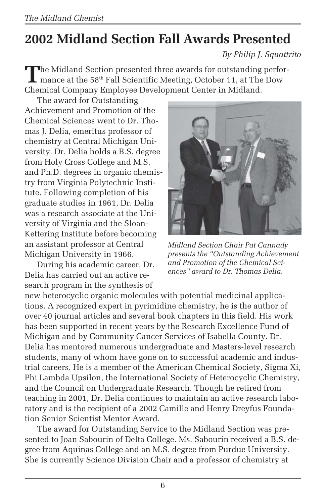# **2002 Midland Section Fall Awards Presented**

*By Philip J. Squattrito*

The Midland Section presented three awards for outstanding perfor-<br>mance at the 58<sup>th</sup> Fall Scientific Meeting, October 11, at The Dow Chemical Company Employee Development Center in Midland.

The award for Outstanding Achievement and Promotion of the Chemical Sciences went to Dr. Thomas J. Delia, emeritus professor of chemistry at Central Michigan University. Dr. Delia holds a B.S. degree from Holy Cross College and M.S. and Ph.D. degrees in organic chemistry from Virginia Polytechnic Institute. Following completion of his graduate studies in 1961, Dr. Delia was a research associate at the University of Virginia and the Sloan-Kettering Institute before becoming an assistant professor at Central Michigan University in 1966.

During his academic career, Dr. Delia has carried out an active research program in the synthesis of



*Midland Section Chair Pat Cannady presents the "Outstanding Achievement and Promotion of the Chemical Sciences" award to Dr. Thomas Delia.*

new heterocyclic organic molecules with potential medicinal applications. A recognized expert in pyrimidine chemistry, he is the author of over 40 journal articles and several book chapters in this field. His work has been supported in recent years by the Research Excellence Fund of Michigan and by Community Cancer Services of Isabella County. Dr. Delia has mentored numerous undergraduate and Masters-level research students, many of whom have gone on to successful academic and industrial careers. He is a member of the American Chemical Society, Sigma Xi, Phi Lambda Upsilon, the International Society of Heterocyclic Chemistry, and the Council on Undergraduate Research. Though he retired from teaching in 2001, Dr. Delia continues to maintain an active research laboratory and is the recipient of a 2002 Camille and Henry Dreyfus Foundation Senior Scientist Mentor Award.

The award for Outstanding Service to the Midland Section was presented to Joan Sabourin of Delta College. Ms. Sabourin received a B.S. degree from Aquinas College and an M.S. degree from Purdue University. She is currently Science Division Chair and a professor of chemistry at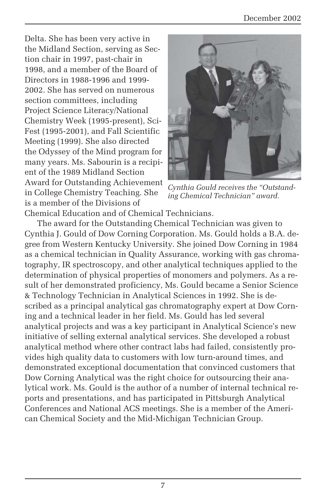Delta. She has been very active in the Midland Section, serving as Section chair in 1997, past-chair in 1998, and a member of the Board of Directors in 1988-1996 and 1999- 2002. She has served on numerous section committees, including Project Science Literacy/National Chemistry Week (1995-present), Sci-Fest (1995-2001), and Fall Scientific Meeting (1999). She also directed the Odyssey of the Mind program for many years. Ms. Sabourin is a recipient of the 1989 Midland Section Award for Outstanding Achievement in College Chemistry Teaching. She is a member of the Divisions of Chemical Education and of Chemical Technicians.



*Cynthia Gould receives the "Outstanding Chemical Technician" award.*

The award for the Outstanding Chemical Technician was given to Cynthia J. Gould of Dow Corning Corporation. Ms. Gould holds a B.A. degree from Western Kentucky University. She joined Dow Corning in 1984 as a chemical technician in Quality Assurance, working with gas chromatography, IR spectroscopy, and other analytical techniques applied to the determination of physical properties of monomers and polymers. As a result of her demonstrated proficiency, Ms. Gould became a Senior Science & Technology Technician in Analytical Sciences in 1992. She is described as a principal analytical gas chromatography expert at Dow Corning and a technical leader in her field. Ms. Gould has led several analytical projects and was a key participant in Analytical Science's new initiative of selling external analytical services. She developed a robust analytical method where other contract labs had failed, consistently provides high quality data to customers with low turn-around times, and demonstrated exceptional documentation that convinced customers that Dow Corning Analytical was the right choice for outsourcing their analytical work. Ms. Gould is the author of a number of internal technical reports and presentations, and has participated in Pittsburgh Analytical Conferences and National ACS meetings. She is a member of the American Chemical Society and the Mid-Michigan Technician Group.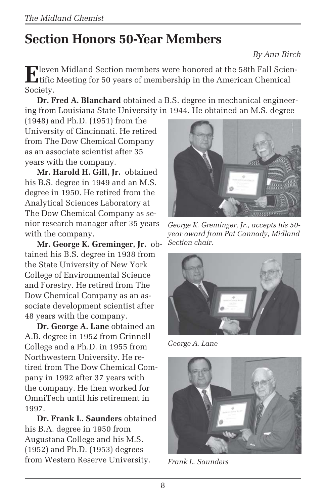# **Section Honors 50-Year Members**

#### *By Ann Birch*

**E**leven Midland Section members were honored at the 58th Fall Scientific Meeting for 50 years of membership in the American Chemical Society.

**Dr. Fred A. Blanchard** obtained a B.S. degree in mechanical engineering from Louisiana State University in 1944. He obtained an M.S. degree

(1948) and Ph.D. (1951) from the University of Cincinnati. He retired from The Dow Chemical Company as an associate scientist after 35 years with the company.

**Mr. Harold H. Gill, Jr.** obtained his B.S. degree in 1949 and an M.S. degree in 1950. He retired from the Analytical Sciences Laboratory at The Dow Chemical Company as senior research manager after 35 years with the company.

**Mr. George K. Greminger, Jr.** obtained his B.S. degree in 1938 from the State University of New York College of Environmental Science and Forestry. He retired from The Dow Chemical Company as an associate development scientist after 48 years with the company.

**Dr. George A. Lane** obtained an A.B. degree in 1952 from Grinnell College and a Ph.D. in 1955 from Northwestern University. He retired from The Dow Chemical Company in 1992 after 37 years with the company. He then worked for OmniTech until his retirement in 1997.

**Dr. Frank L. Saunders** obtained his B.A. degree in 1950 from Augustana College and his M.S. (1952) and Ph.D. (1953) degrees from Western Reserve University.



*George K. Greminger, Jr., accepts his 50 year award from Pat Cannady, Midland Section chair.*



*George A. Lane*



*Frank L. Saunders*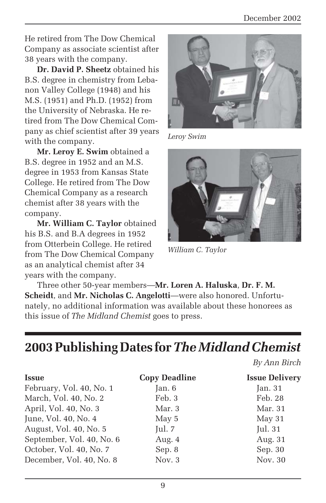He retired from The Dow Chemical Company as associate scientist after 38 years with the company.

**Dr. David P. Sheetz** obtained his B.S. degree in chemistry from Lebanon Valley College (1948) and his M.S. (1951) and Ph.D. (1952) from the University of Nebraska. He retired from The Dow Chemical Company as chief scientist after 39 years with the company.

**Mr. Leroy E. Swim** obtained a B.S. degree in 1952 and an M.S. degree in 1953 from Kansas State College. He retired from The Dow Chemical Company as a research chemist after 38 years with the company.

**Mr. William C. Taylor** obtained his B.S. and B.A degrees in 1952 from Otterbein College. He retired from The Dow Chemical Company as an analytical chemist after 34 years with the company.



*Leroy Swim*



*William C. Taylor*

Three other 50-year members—**Mr. Loren A. Haluska**, **Dr. F. M. Scheidt**, and **Mr. Nicholas C. Angelotti**—were also honored. Unfortunately, no additional information was available about these honorees as this issue of *The Midland Chemist* goes to press.

### **2003 Publishing Dates for** *The Midland Chemist*

*By Ann Birch*

| <b>Issue</b>              | <b>Copy Deadline</b> | <b>Issue Delivery</b> |
|---------------------------|----------------------|-----------------------|
| February, Vol. 40, No. 1  | Jan. 6               | Jan.31                |
| March, Vol. 40, No. 2     | Feb. 3               | Feb. 28               |
| April, Vol. 40, No. 3     | Mar. 3               | Mar. 31               |
| June, Vol. 40, No. 4      | May 5                | May 31                |
| August, Vol. 40, No. 5    | Jul. 7               | Jul. 31               |
| September, Vol. 40, No. 6 | Aug. 4               | Aug. 31               |
| October, Vol. 40, No. 7   | Sep. 8               | Sep. 30               |
| December, Vol. 40, No. 8  | Nov. 3               | Nov. 30               |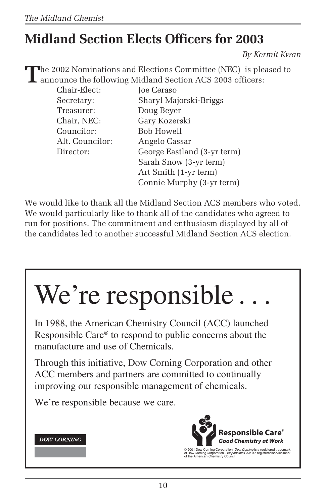# **Midland Section Elects Officers for 2003**

*By Kermit Kwan*

**T**he 2002 Nominations and Elections Committee (NEC) is pleased to announce the following Midland Section ACS 2003 officers:

| Chair-Elect:    | Joe Ceraso                  |
|-----------------|-----------------------------|
| Secretary:      | Sharyl Majorski-Briggs      |
| Treasurer:      | Doug Beyer                  |
| Chair, NEC:     | Gary Kozerski               |
| Councilor:      | Bob Howell                  |
| Alt. Councilor: | Angelo Cassar               |
| Director:       | George Eastland (3-yr term) |
|                 | Sarah Snow (3-yr term)      |
|                 | Art Smith (1-yr term)       |
|                 | Connie Murphy (3-yr term)   |

We would like to thank all the Midland Section ACS members who voted. We would particularly like to thank all of the candidates who agreed to run for positions. The commitment and enthusiasm displayed by all of the candidates led to another successful Midland Section ACS election.

# We're responsible.

In 1988, the American Chemistry Council (ACC) launched Responsible Care® to respond to public concerns about the manufacture and use of Chemicals.

Through this initiative, Dow Corning Corporation and other ACC members and partners are committed to continually improving our responsible management of chemicals.

We're responsible because we care.





© 2001 Dow Corning Corporation. *Dow Corning* is a registered trademark<br>of Dow Corning Corporation. *Responsible Care* is a registered service mark<br>of the American Chemistry Council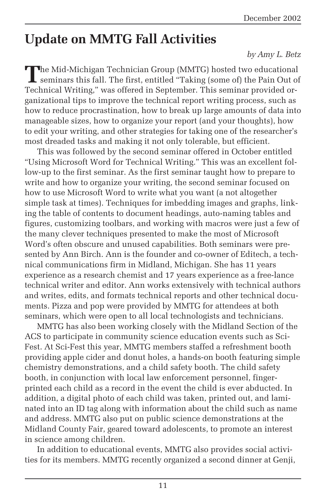# **Update on MMTG Fall Activities**

#### *by Amy L. Betz*

The Mid-Michigan Technician Group (MMTG) hosted two educational<br>seminars this fall. The first, entitled "Taking (some of) the Pain Out of Technical Writing," was offered in September. This seminar provided organizational tips to improve the technical report writing process, such as how to reduce procrastination, how to break up large amounts of data into manageable sizes, how to organize your report (and your thoughts), how to edit your writing, and other strategies for taking one of the researcher's most dreaded tasks and making it not only tolerable, but efficient.

This was followed by the second seminar offered in October entitled "Using Microsoft Word for Technical Writing." This was an excellent follow-up to the first seminar. As the first seminar taught how to prepare to write and how to organize your writing, the second seminar focused on how to use Microsoft Word to write what you want (a not altogether simple task at times). Techniques for imbedding images and graphs, linking the table of contents to document headings, auto-naming tables and figures, customizing toolbars, and working with macros were just a few of the many clever techniques presented to make the most of Microsoft Word's often obscure and unused capabilities. Both seminars were presented by Ann Birch. Ann is the founder and co-owner of Editech, a technical communications firm in Midland, Michigan. She has 11 years experience as a research chemist and 17 years experience as a free-lance technical writer and editor. Ann works extensively with technical authors and writes, edits, and formats technical reports and other technical documents. Pizza and pop were provided by MMTG for attendees at both seminars, which were open to all local technologists and technicians.

MMTG has also been working closely with the Midland Section of the ACS to participate in community science education events such as Sci-Fest. At Sci-Fest this year, MMTG members staffed a refreshment booth providing apple cider and donut holes, a hands-on booth featuring simple chemistry demonstrations, and a child safety booth. The child safety booth, in conjunction with local law enforcement personnel, fingerprinted each child as a record in the event the child is ever abducted. In addition, a digital photo of each child was taken, printed out, and laminated into an ID tag along with information about the child such as name and address. MMTG also put on public science demonstrations at the Midland County Fair, geared toward adolescents, to promote an interest in science among children.

In addition to educational events, MMTG also provides social activities for its members. MMTG recently organized a second dinner at Genji,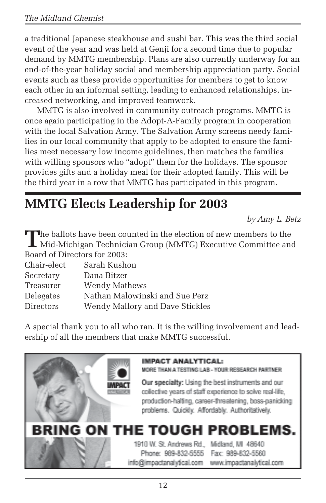a traditional Japanese steakhouse and sushi bar. This was the third social event of the year and was held at Genji for a second time due to popular demand by MMTG membership. Plans are also currently underway for an end-of-the-year holiday social and membership appreciation party. Social events such as these provide opportunities for members to get to know each other in an informal setting, leading to enhanced relationships, increased networking, and improved teamwork.

MMTG is also involved in community outreach programs. MMTG is once again participating in the Adopt-A-Family program in cooperation with the local Salvation Army. The Salvation Army screens needy families in our local community that apply to be adopted to ensure the families meet necessary low income guidelines, then matches the families with willing sponsors who "adopt" them for the holidays. The sponsor provides gifts and a holiday meal for their adopted family. This will be the third year in a row that MMTG has participated in this program.

### **MMTG Elects Leadership for 2003**

*by Amy L. Betz*

**T**he ballots have been counted in the election of new members to the Mid-Michigan Technician Group (MMTG) Executive Committee and Board of Directors for 2003:

| Chair-elect      | Sarah Kushon                    |
|------------------|---------------------------------|
| Secretary        | Dana Bitzer                     |
| Treasurer        | Wendy Mathews                   |
| Delegates        | Nathan Malowinski and Sue Perz  |
| <b>Directors</b> | Wendy Mallory and Dave Stickles |
|                  |                                 |

A special thank you to all who ran. It is the willing involvement and leadership of all the members that make MMTG successful.

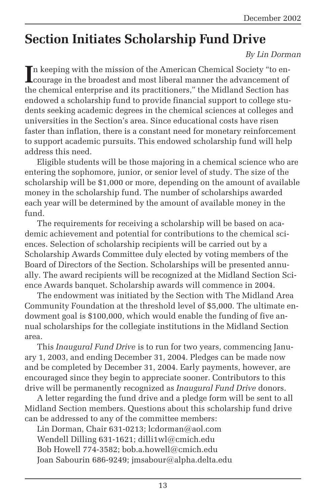### **Section Initiates Scholarship Fund Drive**

#### *By Lin Dorman*

In keeping with the mission of the American Chemical Society "to en-<br>courage in the broadest and most liberal manner the advancement of courage in the broadest and most liberal manner the advancement of the chemical enterprise and its practitioners," the Midland Section has endowed a scholarship fund to provide financial support to college students seeking academic degrees in the chemical sciences at colleges and universities in the Section's area. Since educational costs have risen faster than inflation, there is a constant need for monetary reinforcement to support academic pursuits. This endowed scholarship fund will help address this need.

Eligible students will be those majoring in a chemical science who are entering the sophomore, junior, or senior level of study. The size of the scholarship will be \$1,000 or more, depending on the amount of available money in the scholarship fund. The number of scholarships awarded each year will be determined by the amount of available money in the fund.

The requirements for receiving a scholarship will be based on academic achievement and potential for contributions to the chemical sciences. Selection of scholarship recipients will be carried out by a Scholarship Awards Committee duly elected by voting members of the Board of Directors of the Section. Scholarships will be presented annually. The award recipients will be recognized at the Midland Section Science Awards banquet. Scholarship awards will commence in 2004.

The endowment was initiated by the Section with The Midland Area Community Foundation at the threshold level of \$5,000. The ultimate endowment goal is \$100,000, which would enable the funding of five annual scholarships for the collegiate institutions in the Midland Section area.

This *Inaugural Fund Drive* is to run for two years, commencing January 1, 2003, and ending December 31, 2004. Pledges can be made now and be completed by December 31, 2004. Early payments, however, are encouraged since they begin to appreciate sooner. Contributors to this drive will be permanently recognized as *Inaugural Fund Drive* donors.

A letter regarding the fund drive and a pledge form will be sent to all Midland Section members. Questions about this scholarship fund drive can be addressed to any of the committee members:

Lin Dorman, Chair 631-0213; lcdorman@aol.com Wendell Dilling 631-1621; dilli1wl@cmich.edu Bob Howell 774-3582; bob.a.howell@cmich.edu Joan Sabourin 686-9249; jmsabour@alpha.delta.edu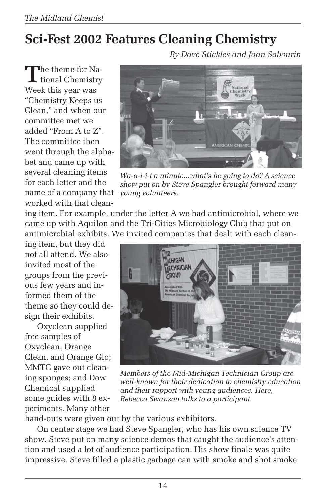# **Sci-Fest 2002 Features Cleaning Chemistry**

*By Dave Stickles and Joan Sabourin*

The theme for Na-<br>tional Chemistry Week this year was "Chemistry Keeps us Clean," and when our committee met we added "From A to Z". The committee then went through the alphabet and came up with several cleaning items for each letter and the name of a company that worked with that clean-

ing item. For example, under the letter A we had antimicrobial, where we came up with Aquilon and the Tri-Cities Microbiology Club that put on antimicrobial exhibits. We invited companies that dealt with each clean-

ing item, but they did not all attend. We also invited most of the groups from the previous few years and informed them of the theme so they could design their exhibits.

Oxyclean supplied free samples of Oxyclean, Orange Clean, and Orange Glo; MMTG gave out cleaning sponges; and Dow Chemical supplied some guides with 8 experiments. Many other



*Wa-a-i-i-t a minute...what's he going to do? A science show put on by Steve Spangler brought forward many young volunteers.*



*Members of the Mid-Michigan Technician Group are well-known for their dedication to chemistry education and their rapport with young audiences. Here, Rebecca Swanson talks to a participant.*

hand-outs were given out by the various exhibitors.

On center stage we had Steve Spangler, who has his own science TV show. Steve put on many science demos that caught the audience's attention and used a lot of audience participation. His show finale was quite impressive. Steve filled a plastic garbage can with smoke and shot smoke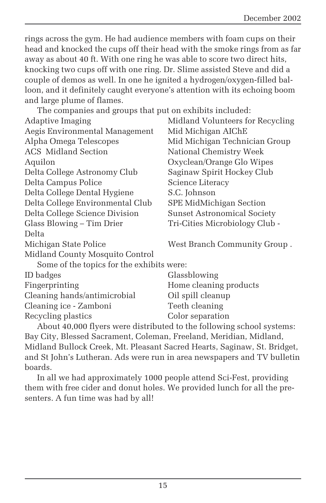rings across the gym. He had audience members with foam cups on their head and knocked the cups off their head with the smoke rings from as far away as about 40 ft. With one ring he was able to score two direct hits, knocking two cups off with one ring. Dr. Slime assisted Steve and did a couple of demos as well. In one he ignited a hydrogen/oxygen-filled balloon, and it definitely caught everyone's attention with its echoing boom and large plume of flames.

The companies and groups that put on exhibits included:

| <b>Adaptive Imaging</b>                   | Midland Volunteers for Recycling   |  |
|-------------------------------------------|------------------------------------|--|
| Aegis Environmental Management            | Mid Michigan AIChE                 |  |
| Alpha Omega Telescopes                    | Mid Michigan Technician Group      |  |
| <b>ACS</b> Midland Section                | National Chemistry Week            |  |
| Aquilon                                   | Oxyclean/Orange Glo Wipes          |  |
| Delta College Astronomy Club              | Saginaw Spirit Hockey Club         |  |
| Delta Campus Police                       | Science Literacy                   |  |
| Delta College Dental Hygiene              | S.C. Johnson                       |  |
| Delta College Environmental Club          | SPE MidMichigan Section            |  |
| Delta College Science Division            | <b>Sunset Astronomical Society</b> |  |
| Glass Blowing – Tim Drier                 | Tri-Cities Microbiology Club -     |  |
| Delta                                     |                                    |  |
| Michigan State Police                     | West Branch Community Group.       |  |
| Midland County Mosquito Control           |                                    |  |
| Some of the topics for the exhibits were: |                                    |  |
| ID badges                                 | Glassblowing                       |  |
| Fingerprinting                            | Home cleaning products             |  |
| Cleaning hands/antimicrobial              | Oil spill cleanup                  |  |
| Cleaning ice - Zamboni                    | Teeth cleaning                     |  |
| Recycling plastics                        | Color separation                   |  |
|                                           |                                    |  |

About 40,000 flyers were distributed to the following school systems: Bay City, Blessed Sacrament, Coleman, Freeland, Meridian, Midland, Midland Bullock Creek, Mt. Pleasant Sacred Hearts, Saginaw, St. Bridget, and St John's Lutheran. Ads were run in area newspapers and TV bulletin boards.

In all we had approximately 1000 people attend Sci-Fest, providing them with free cider and donut holes. We provided lunch for all the presenters. A fun time was had by all!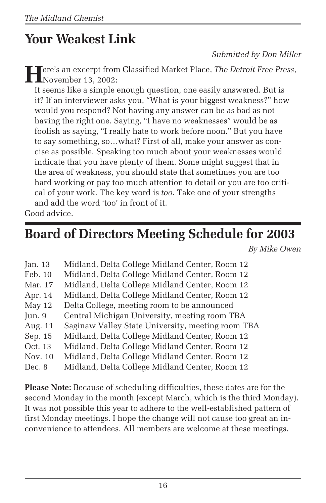# **Your Weakest Link**

*Submitted by Don Miller*

**H**ere's an excerpt from Classified Market Place, *The Detroit Free Press*, November 13, 2002:

It seems like a simple enough question, one easily answered. But is it? If an interviewer asks you, "What is your biggest weakness?" how would you respond? Not having any answer can be as bad as not having the right one. Saying, "I have no weaknesses" would be as foolish as saying, "I really hate to work before noon." But you have to say something, so…what? First of all, make your answer as concise as possible. Speaking too much about your weaknesses would indicate that you have plenty of them. Some might suggest that in the area of weakness, you should state that sometimes you are too hard working or pay too much attention to detail or you are too critical of your work. The key word is *too*. Take one of your strengths and add the word 'too' in front of it.

Good advice.

### **Board of Directors Meeting Schedule for 2003**

*By Mike Owen*

| Jan. $13$        | Midland, Delta College Midland Center, Room 12    |
|------------------|---------------------------------------------------|
| Feb. 10          | Midland, Delta College Midland Center, Room 12    |
| Mar. 17          | Midland, Delta College Midland Center, Room 12    |
| Apr. 14          | Midland, Delta College Midland Center, Room 12    |
| May 12           | Delta College, meeting room to be announced       |
| $\mathrm{Jun.}9$ | Central Michigan University, meeting room TBA     |
| Aug. 11          | Saginaw Valley State University, meeting room TBA |
| Sep. 15          | Midland, Delta College Midland Center, Room 12    |
| Oct. 13          | Midland, Delta College Midland Center, Room 12    |
| Nov. 10          | Midland, Delta College Midland Center, Room 12    |
| Dec. 8           | Midland, Delta College Midland Center, Room 12    |

**Please Note:** Because of scheduling difficulties, these dates are for the second Monday in the month (except March, which is the third Monday). It was not possible this year to adhere to the well-established pattern of first Monday meetings. I hope the change will not cause too great an inconvenience to attendees. All members are welcome at these meetings.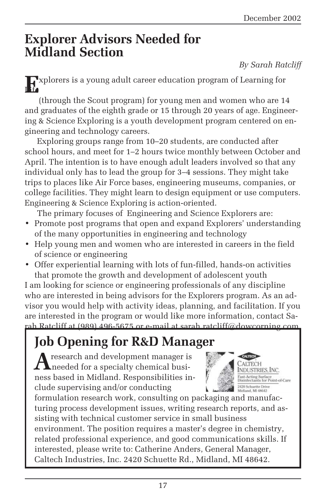### **Explorer Advisors Needed for Midland Section**

*By Sarah Ratcliff*

**Explorers is a young adult career education program of Learning for** 

(through the Scout program) for young men and women who are 14 and graduates of the eighth grade or 15 through 20 years of age. Engineering & Science Exploring is a youth development program centered on engineering and technology careers.

Exploring groups range from 10–20 students, are conducted after school hours, and meet for 1–2 hours twice monthly between October and April. The intention is to have enough adult leaders involved so that any individual only has to lead the group for 3–4 sessions. They might take trips to places like Air Force bases, engineering museums, companies, or college facilities. They might learn to design equipment or use computers. Engineering & Science Exploring is action-oriented.

The primary focuses of Engineering and Science Explorers are:

- Promote post programs that open and expand Explorers' understanding of the many opportunities in engineering and technology
- Help young men and women who are interested in careers in the field of science or engineering
- Offer experiential learning with lots of fun-filled, hands-on activities that promote the growth and development of adolescent youth

I am looking for science or engineering professionals of any discipline who are interested in being advisors for the Explorers program. As an advisor you would help with activity ideas, planning, and facilitation. If you are interested in the program or would like more information, contact Sarah Ratcliff at (989) 496-5675 or e-mail at sarah.ratcliff@dowcorning.com.

# **Job Opening for R&D Manager**

**A**research and development manager is needed for a specialty chemical business based in Midland. Responsibilities include supervising and/or conducting



formulation research work, consulting on packaging and manufacturing process development issues, writing research reports, and assisting with technical customer service in small business environment. The position requires a master's degree in chemistry, related professional experience, and good communications skills. If interested, please write to: Catherine Anders, General Manager, Caltech Industries, Inc. 2420 Schuette Rd., Midland, MI 48642.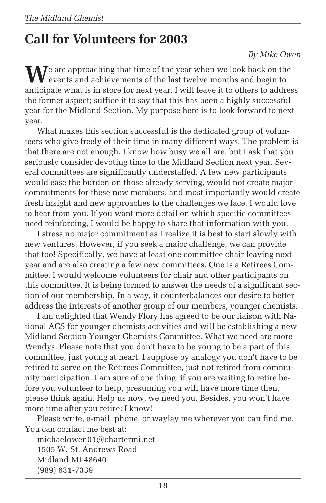# **Call for Volunteers for 2003**

#### *By Mike Owen*

**M**e are approaching that time of the year when we look back on the events and achievements of the last twelve months and begin to anticipate what is in store for next year. I will leave it to others to address the former aspect; suffice it to say that this has been a highly successful year for the Midland Section. My purpose here is to look forward to next year.

What makes this section successful is the dedicated group of volunteers who give freely of their time in many different ways. The problem is that there are not enough. I know how busy we all are, but I ask that you seriously consider devoting time to the Midland Section next year. Several committees are significantly understaffed. A few new participants would ease the burden on those already serving, would not create major commitments for these new members, and most importantly would create fresh insight and new approaches to the challenges we face. I would love to hear from you. If you want more detail on which specific committees need reinforcing, I would be happy to share that information with you.

I stress no major commitment as I realize it is best to start slowly with new ventures. However, if you seek a major challenge, we can provide that too! Specifically, we have at least one committee chair leaving next year and are also creating a few new committees. One is a Retirees Committee. I would welcome volunteers for chair and other participants on this committee. It is being formed to answer the needs of a significant section of our membership. In a way, it counterbalances our desire to better address the interests of another group of our members, younger chemists.

I am delighted that Wendy Flory has agreed to be our liaison with National ACS for younger chemists activities and will be establishing a new Midland Section Younger Chemists Committee. What we need are more Wendys. Please note that you don't have to be young to be a part of this committee, just young at heart. I suppose by analogy you don't have to be retired to serve on the Retirees Committee, just not retired from community participation. I am sure of one thing: if you are waiting to retire before you volunteer to help, presuming you will have more time then, please think again. Help us now, we need you. Besides, you won't have more time after you retire; I know!

Please write, e-mail, phone, or waylay me wherever you can find me. You can contact me best at:

michaelowen01@chartermi.net 1505 W. St. Andrews Road Midland MI 48640 (989) 631-7339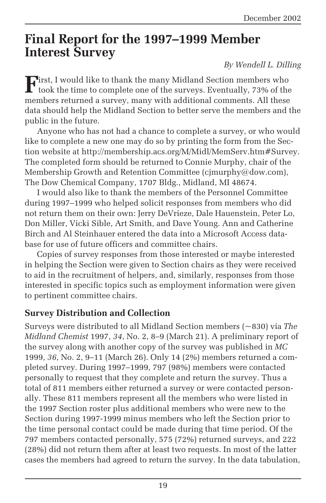### **Final Report for the 1997–1999 Member Interest Survey**

#### *By Wendell L. Dilling*

**F**irst, I would like to thank the many Midland Section members who<br>took the time to complete one of the surveys. Eventually, 73% of the members returned a survey, many with additional comments. All these data should help the Midland Section to better serve the members and the public in the future.

Anyone who has not had a chance to complete a survey, or who would like to complete a new one may do so by printing the form from the Section website at http://membership.acs.org/M/Midl/MemServ.htm#Survey. The completed form should be returned to Connie Murphy, chair of the Membership Growth and Retention Committee (cjmurphy@dow.com), The Dow Chemical Company, 1707 Bldg., Midland, MI 48674.

I would also like to thank the members of the Personnel Committee during 1997–1999 who helped solicit responses from members who did not return them on their own: Jerry DeVrieze, Dale Hauenstein, Peter Lo, Don Miller, Vicki Sible, Art Smith, and Dave Young. Ann and Catherine Birch and Al Steinhauer entered the data into a Microsoft Access database for use of future officers and committee chairs.

Copies of survey responses from those interested or maybe interested in helping the Section were given to Section chairs as they were received to aid in the recruitment of helpers, and, similarly, responses from those interested in specific topics such as employment information were given to pertinent committee chairs.

#### **Survey Distribution and Collection**

Surveys were distributed to all Midland Section members (~830) via *The Midland Chemist* 1997, *34*, No. 2, 8–9 (March 21). A preliminary report of the survey along with another copy of the survey was published in *MC* 1999, *36*, No. 2, 9–11 (March 26). Only 14 (2%) members returned a completed survey. During 1997–1999, 797 (98%) members were contacted personally to request that they complete and return the survey. Thus a total of 811 members either returned a survey or were contacted personally. These 811 members represent all the members who were listed in the 1997 Section roster plus additional members who were new to the Section during 1997-1999 minus members who left the Section prior to the time personal contact could be made during that time period. Of the 797 members contacted personally, 575 (72%) returned surveys, and 222 (28%) did not return them after at least two requests. In most of the latter cases the members had agreed to return the survey. In the data tabulation,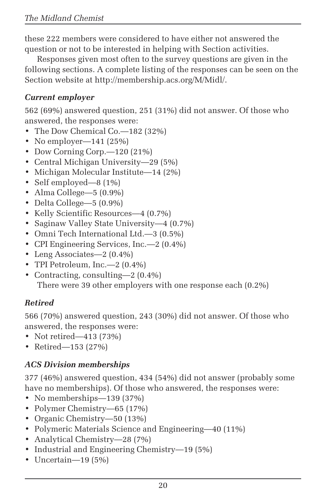these 222 members were considered to have either not answered the question or not to be interested in helping with Section activities.

Responses given most often to the survey questions are given in the following sections. A complete listing of the responses can be seen on the Section website at http://membership.acs.org/M/Midl/.

#### *Current employer*

562 (69%) answered question, 251 (31%) did not answer. Of those who answered, the responses were:

- The Dow Chemical Co.—182 (32%)
- No employer—141 $(25%)$
- Dow Corning Corp. -120 (21%)
- Central Michigan University—29 (5%)
- Michigan Molecular Institute—14 (2%)
- Self employed—8 (1%)
- Alma College—5 (0.9%)
- Delta College—5 (0.9%)
- Kelly Scientific Resources—4 (0.7%)
- Saginaw Valley State University—4 (0.7%)
- Omni Tech International Ltd.—3 (0.5%)
- CPI Engineering Services, Inc.—2 (0.4%)
- Leng Associates—2 (0.4%)
- TPI Petroleum, Inc.—2 (0.4%)
- Contracting, consulting—2 (0.4%) There were 39 other employers with one response each (0.2%)

#### *Retired*

566 (70%) answered question, 243 (30%) did not answer. Of those who answered, the responses were:

- Not retired—413 (73%)
- Retired—153 (27%)

#### *ACS Division memberships*

377 (46%) answered question, 434 (54%) did not answer (probably some have no memberships). Of those who answered, the responses were:

- No memberships—139 (37%)
- Polymer Chemistry—65 (17%)
- Organic Chemistry—50 (13%)
- Polymeric Materials Science and Engineering—40 (11%)
- Analytical Chemistry—28 (7%)
- Industrial and Engineering Chemistry—19 (5%)
- Uncertain—19 (5%)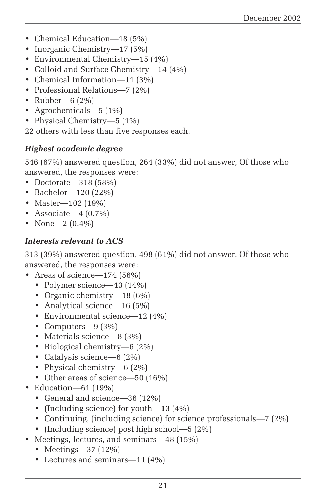- Chemical Education—18 (5%)
- Inorganic Chemistry—17 (5%)
- Environmental Chemistry—15 (4%)
- Colloid and Surface Chemistry—14 (4%)
- Chemical Information—11 (3%)
- Professional Relations—7 (2%)
- Rubber—6 (2%)
- Agrochemicals—5 (1%)
- Physical Chemistry—5 (1%)

22 others with less than five responses each.

#### *Highest academic degree*

546 (67%) answered question, 264 (33%) did not answer, Of those who answered, the responses were:

- Doctorate—318 (58%)
- Bachelor—120 (22%)
- Master—102 (19%)
- Associate—4  $(0.7\%)$
- None—2 (0.4%)

#### *Interests relevant to ACS*

313 (39%) answered question, 498 (61%) did not answer. Of those who answered, the responses were:

- Areas of science—174 (56%)
	- Polymer science—43 (14%)
	- Organic chemistry—18 (6%)
	- Analytical science—16 (5%)
	- Environmental science—12 (4%)
	- Computers—9 (3%)
	- Materials science—8 (3%)
	- Biological chemistry—6 (2%)
	- Catalysis science—6 (2%)
	- Physical chemistry—6 (2%)
	- Other areas of science—50 (16%)
- Education—61 (19%)
	- General and science—36 (12%)
	- (Including science) for youth—13 (4%)
	- Continuing, (including science) for science professionals—7 (2%)
	- (Including science) post high school—5 (2%)
- Meetings, lectures, and seminars—48 (15%)
	- Meetings—37 (12%)
	- Lectures and seminars—11 (4%)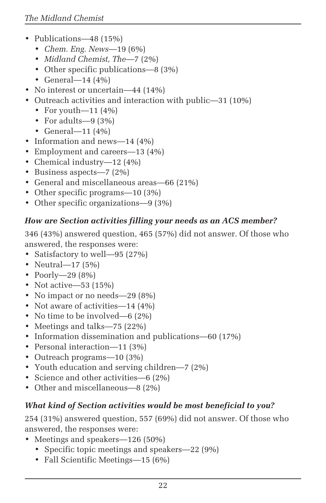- Publications—48 (15%)
	- *Chem. Eng. News*—19 (6%)
	- *Midland Chemist, The*—7 (2%)
	- Other specific publications—8 (3%)
	- General—14 (4%)
- No interest or uncertain—44 (14%)
- Outreach activities and interaction with public—31 (10%)
	- For youth—11  $(4%)$
	- For adults—9 (3%)
	- General—11 (4%)
- Information and news—14 (4%)
- Employment and careers—13 (4%)
- Chemical industry—12 (4%)
- Business aspects—7 (2%)
- General and miscellaneous areas—66 (21%)
- Other specific programs—10 (3%)
- Other specific organizations—9 (3%)

#### *How are Section activities filling your needs as an ACS member?*

346 (43%) answered question, 465 (57%) did not answer. Of those who answered, the responses were:

- Satisfactory to well—95 (27%)
- Neutral—17 (5%)
- Poorly—29 (8%)
- Not active—53 (15%)
- No impact or no needs—29 (8%)
- Not aware of activities—14 (4%)
- No time to be involved—6 (2%)
- Meetings and talks—75 (22%)
- Information dissemination and publications—60 (17%)
- Personal interaction—11 (3%)
- Outreach programs—10 (3%)
- Youth education and serving children—7 (2%)
- Science and other activities—6 (2%)
- Other and miscellaneous—8 (2%)

#### *What kind of Section activities would be most beneficial to you?*

254 (31%) answered question, 557 (69%) did not answer. Of those who answered, the responses were:

- Meetings and speakers—126 (50%)
	- Specific topic meetings and speakers—22 (9%)
	- Fall Scientific Meetings—15 (6%)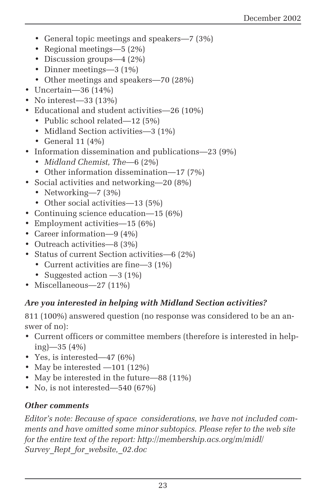- General topic meetings and speakers—7 (3%)
- Regional meetings—5 (2%)
- Discussion groups—4 (2%)
- Dinner meetings—3 (1%)
- Other meetings and speakers—70 (28%)
- Uncertain—36 (14%)
- No interest—33 (13%)
- Educational and student activities—26 (10%)
	- Public school related—12 (5%)
	- Midland Section activities—3 (1%)
	- General 11 (4%)
- Information dissemination and publications—23 (9%)
	- *Midland Chemist, The*—6 (2%)
	- Other information dissemination—17 (7%)
- Social activities and networking—20 (8%)
	- Networking—7 (3%)
	- Other social activities—13 (5%)
- Continuing science education—15 (6%)
- Employment activities—15 (6%)
- Career information—9 (4%)
- Outreach activities—8 (3%)
- Status of current Section activities—6 (2%)
	- Current activities are fine—3 (1%)
	- Suggested action —3 (1%)
- Miscellaneous—27 (11%)

#### *Are you interested in helping with Midland Section activities?*

811 (100%) answered question (no response was considered to be an answer of no):

- Current officers or committee members (therefore is interested in helping)—35 (4%)
- Yes, is interested—47 (6%)
- May be interested —101 (12%)
- May be interested in the future—88 (11%)
- No, is not interested—540 (67%)

#### *Other comments*

*Editor's note: Because of space considerations, we have not included comments and have omitted some minor subtopics. Please refer to the web site for the entire text of the report: http://membership.acs.org/m/midl/ Survey\_Rept\_for\_website,\_02.doc*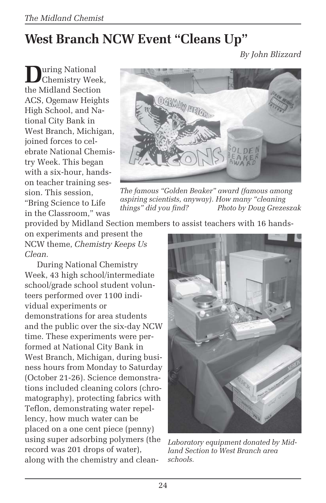# **West Branch NCW Event "Cleans Up"**

*By John Blizzard*

During National<br>Chemistry Week, the Midland Section ACS, Ogemaw Heights High School, and National City Bank in West Branch, Michigan, joined forces to celebrate National Chemistry Week. This began with a six-hour, handson teacher training session. This session, "Bring Science to Life in the Classroom," was



*The famous "Golden Beaker" award (famous among aspiring scientists, anyway). How many "cleaning things" did you find? Photo by Doug Grezeszak*

provided by Midland Section members to assist teachers with 16 hands-

on experiments and present the NCW theme, *Chemistry Keeps Us Clean.*

During National Chemistry Week, 43 high school/intermediate school/grade school student volunteers performed over 1100 individual experiments or demonstrations for area students and the public over the six-day NCW time. These experiments were performed at National City Bank in West Branch, Michigan, during business hours from Monday to Saturday (October 21-26). Science demonstrations included cleaning colors (chromatography), protecting fabrics with Teflon, demonstrating water repellency, how much water can be placed on a one cent piece (penny) using super adsorbing polymers (the record was 201 drops of water), along with the chemistry and clean-



*Laboratory equipment donated by Midland Section to West Branch area schools.*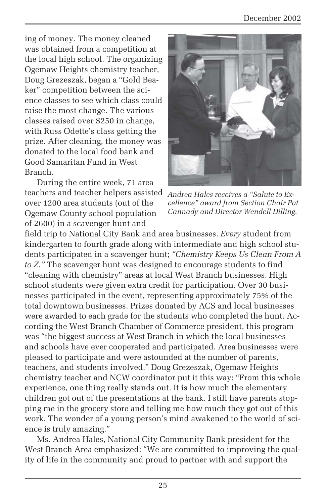ing of money. The money cleaned was obtained from a competition at the local high school. The organizing Ogemaw Heights chemistry teacher, Doug Grezeszak, began a "Gold Beaker" competition between the science classes to see which class could raise the most change. The various classes raised over \$250 in change, with Russ Odette's class getting the prize. After cleaning, the money was donated to the local food bank and Good Samaritan Fund in West Branch.

During the entire week, 71 area teachers and teacher helpers assisted over 1200 area students (out of the Ogemaw County school population of 2600) in a scavenger hunt and



*Andrea Hales receives a "Salute to Excellence" award from Section Chair Pat Cannady and Director Wendell Dilling.*

field trip to National City Bank and area businesses. *Every* student from kindergarten to fourth grade along with intermediate and high school students participated in a scavenger hunt; *"Chemistry Keeps Us Clean From A to Z."* The scavenger hunt was designed to encourage students to find "cleaning with chemistry" areas at local West Branch businesses. High school students were given extra credit for participation. Over 30 businesses participated in the event, representing approximately 75% of the total downtown businesses. Prizes donated by ACS and local businesses were awarded to each grade for the students who completed the hunt. According the West Branch Chamber of Commerce president, this program was "the biggest success at West Branch in which the local businesses and schools have ever cooperated and participated. Area businesses were pleased to participate and were astounded at the number of parents, teachers, and students involved." Doug Grezeszak, Ogemaw Heights chemistry teacher and NCW coordinator put it this way: "From this whole experience, one thing really stands out. It is how much the elementary children got out of the presentations at the bank. I still have parents stopping me in the grocery store and telling me how much they got out of this work. The wonder of a young person's mind awakened to the world of science is truly amazing."

Ms. Andrea Hales, National City Community Bank president for the West Branch Area emphasized: "We are committed to improving the quality of life in the community and proud to partner with and support the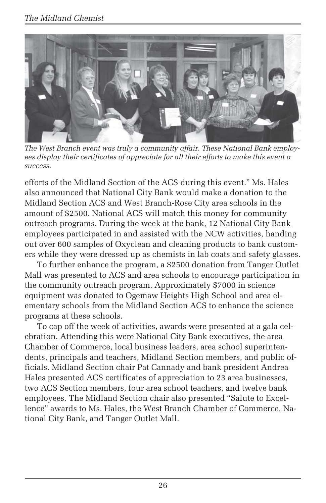

*The West Branch event was truly a community affair. These National Bank employees display their certificates of appreciate for all their efforts to make this event a success.*

efforts of the Midland Section of the ACS during this event." Ms. Hales also announced that National City Bank would make a donation to the Midland Section ACS and West Branch-Rose City area schools in the amount of \$2500. National ACS will match this money for community outreach programs. During the week at the bank, 12 National City Bank employees participated in and assisted with the NCW activities, handing out over 600 samples of Oxyclean and cleaning products to bank customers while they were dressed up as chemists in lab coats and safety glasses.

To further enhance the program, a \$2500 donation from Tanger Outlet Mall was presented to ACS and area schools to encourage participation in the community outreach program. Approximately \$7000 in science equipment was donated to Ogemaw Heights High School and area elementary schools from the Midland Section ACS to enhance the science programs at these schools.

To cap off the week of activities, awards were presented at a gala celebration. Attending this were National City Bank executives, the area Chamber of Commerce, local business leaders, area school superintendents, principals and teachers, Midland Section members, and public officials. Midland Section chair Pat Cannady and bank president Andrea Hales presented ACS certificates of appreciation to 23 area businesses, two ACS Section members, four area school teachers, and twelve bank employees. The Midland Section chair also presented "Salute to Excellence" awards to Ms. Hales, the West Branch Chamber of Commerce, National City Bank, and Tanger Outlet Mall.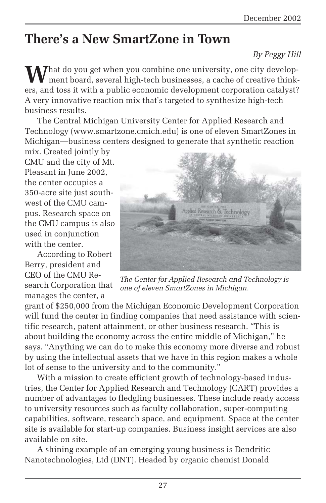# **There's a New SmartZone in Town**

#### *By Peggy Hill*

**M**hat do you get when you combine one university, one city development board, several high-tech businesses, a cache of creative thinkers, and toss it with a public economic development corporation catalyst? A very innovative reaction mix that's targeted to synthesize high-tech business results.

The Central Michigan University Center for Applied Research and Technology (www.smartzone.cmich.edu) is one of eleven SmartZones in Michigan—business centers designed to generate that synthetic reaction

mix. Created jointly by CMU and the city of Mt. Pleasant in June 2002, the center occupies a 350-acre site just southwest of the CMU campus. Research space on the CMU campus is also used in conjunction with the center.

According to Robert Berry, president and CEO of the CMU Research Corporation that manages the center, a



*The Center for Applied Research and Technology is one of eleven SmartZones in Michigan.*

grant of \$250,000 from the Michigan Economic Development Corporation will fund the center in finding companies that need assistance with scientific research, patent attainment, or other business research. "This is about building the economy across the entire middle of Michigan," he says. "Anything we can do to make this economy more diverse and robust by using the intellectual assets that we have in this region makes a whole lot of sense to the university and to the community."

With a mission to create efficient growth of technology-based industries, the Center for Applied Research and Technology (CART) provides a number of advantages to fledgling businesses. These include ready access to university resources such as faculty collaboration, super-computing capabilities, software, research space, and equipment. Space at the center site is available for start-up companies. Business insight services are also available on site.

A shining example of an emerging young business is Dendritic Nanotechnologies, Ltd (DNT). Headed by organic chemist Donald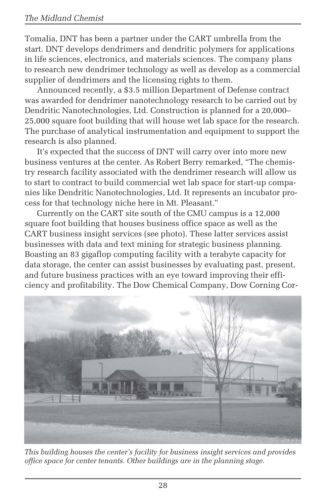Tomalia, DNT has been a partner under the CART umbrella from the start. DNT develops dendrimers and dendritic polymers for applications in life sciences, electronics, and materials sciences. The company plans to research new dendrimer technology as well as develop as a commercial supplier of dendrimers and the licensing rights to them.

Announced recently, a \$3.5 million Department of Defense contract was awarded for dendrimer nanotechnology research to be carried out by Dendritic Nanotechnologies, Ltd. Construction is planned for a 20,000– 25,000 square foot building that will house wet lab space for the research. The purchase of analytical instrumentation and equipment to support the research is also planned.

It's expected that the success of DNT will carry over into more new business ventures at the center. As Robert Berry remarked, "The chemistry research facility associated with the dendrimer research will allow us to start to contract to build commercial wet lab space for start-up companies like Dendritic Nanotechnologies, Ltd. It represents an incubator process for that technology niche here in Mt. Pleasant."

Currently on the CART site south of the CMU campus is a 12,000 square foot building that houses business office space as well as the CART business insight services (see photo). These latter services assist businesses with data and text mining for strategic business planning. Boasting an 83 gigaflop computing facility with a terabyte capacity for data storage, the center can assist businesses by evaluating past, present, and future business practices with an eye toward improving their efficiency and profitability. The Dow Chemical Company, Dow Corning Cor-



*This building houses the center's facility for business insight services and provides office space for center tenants. Other buildings are in the planning stage.*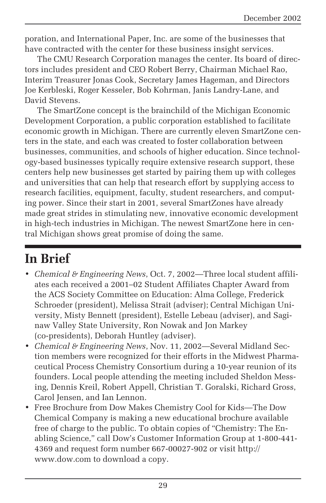poration, and International Paper, Inc. are some of the businesses that have contracted with the center for these business insight services.

The CMU Research Corporation manages the center. Its board of directors includes president and CEO Robert Berry, Chairman Michael Rao, Interim Treasurer Jonas Cook, Secretary James Hageman, and Directors Joe Kerbleski, Roger Kesseler, Bob Kohrman, Janis Landry-Lane, and David Stevens.

The SmartZone concept is the brainchild of the Michigan Economic Development Corporation, a public corporation established to facilitate economic growth in Michigan. There are currently eleven SmartZone centers in the state, and each was created to foster collaboration between businesses, communities, and schools of higher education. Since technology-based businesses typically require extensive research support, these centers help new businesses get started by pairing them up with colleges and universities that can help that research effort by supplying access to research facilities, equipment, faculty, student researchers, and computing power. Since their start in 2001, several SmartZones have already made great strides in stimulating new, innovative economic development in high-tech industries in Michigan. The newest SmartZone here in central Michigan shows great promise of doing the same.

# **In Brief**

- *Chemical & Engineering News*, Oct. 7, 2002—Three local student affiliates each received a 2001–02 Student Affiliates Chapter Award from the ACS Society Committee on Education: Alma College, Frederick Schroeder (president), Melissa Strait (adviser); Central Michigan University, Misty Bennett (president), Estelle Lebeau (adviser), and Saginaw Valley State University, Ron Nowak and Jon Markey (co-presidents), Deborah Huntley (adviser).
- *Chemical & Engineering News*, Nov. 11, 2002—Several Midland Section members were recognized for their efforts in the Midwest Pharmaceutical Process Chemistry Consortium during a 10-year reunion of its founders. Local people attending the meeting included Sheldon Messing, Dennis Kreil, Robert Appell, Christian T. Goralski, Richard Gross, Carol Jensen, and Ian Lennon.
- Free Brochure from Dow Makes Chemistry Cool for Kids—The Dow Chemical Company is making a new educational brochure available free of charge to the public. To obtain copies of "Chemistry: The Enabling Science," call Dow's Customer Information Group at 1-800-441- 4369 and request form number 667-00027-902 or visit http:// www.dow.com to download a copy.